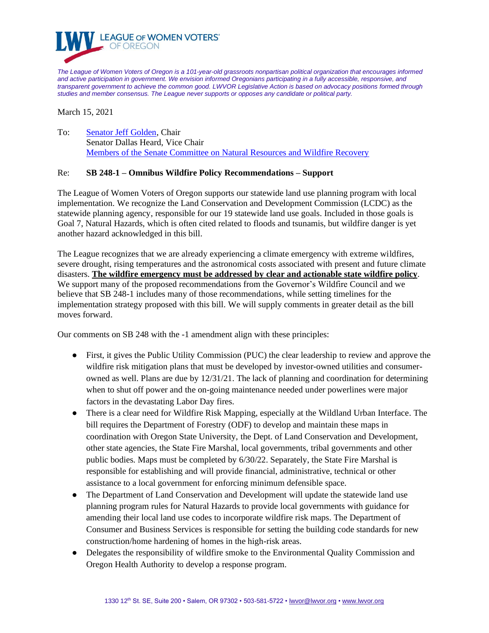

*The League of Women Voters of Oregon is a 101-year-old grassroots nonpartisan political organization that encourages informed and active participation in government. We envision informed Oregonians participating in a fully accessible, responsive, and transparent government to achieve the common good. LWVOR Legislative Action is based on advocacy positions formed through studies and member consensus. The League never supports or opposes any candidate or political party.*

March 15, 2021

To: [Senator Jeff Golden,](mailto:Sen.JeffGolden@oregonlegislature.gov) Chair Senator Dallas Heard, Vice Chair [Members of the Senate Committee on Natural Resources and Wildfire Recovery](https://olis.oregonlegislature.gov/liz/2021R1/Committees/SNRWR/Overview)

## Re: **SB 248-1 – Omnibus Wildfire Policy Recommendations – Support**

The League of Women Voters of Oregon supports our statewide land use planning program with local implementation. We recognize the Land Conservation and Development Commission (LCDC) as the statewide planning agency, responsible for our 19 statewide land use goals. Included in those goals is Goal 7, Natural Hazards, which is often cited related to floods and tsunamis, but wildfire danger is yet another hazard acknowledged in this bill.

The League recognizes that we are already experiencing a climate emergency with extreme wildfires, severe drought, rising temperatures and the astronomical costs associated with present and future climate disasters. **The wildfire emergency must be addressed by clear and actionable state wildfire policy**. We support many of the proposed recommendations from the Governor's Wildfire Council and we believe that SB 248-1 includes many of those recommendations, while setting timelines for the implementation strategy proposed with this bill. We will supply comments in greater detail as the bill moves forward.

Our comments on SB 248 with the -1 amendment align with these principles:

- First, it gives the Public Utility Commission (PUC) the clear leadership to review and approve the wildfire risk mitigation plans that must be developed by investor-owned utilities and consumerowned as well. Plans are due by 12/31/21. The lack of planning and coordination for determining when to shut off power and the on-going maintenance needed under powerlines were major factors in the devastating Labor Day fires.
- There is a clear need for Wildfire Risk Mapping, especially at the Wildland Urban Interface. The bill requires the Department of Forestry (ODF) to develop and maintain these maps in coordination with Oregon State University, the Dept. of Land Conservation and Development, other state agencies, the State Fire Marshal, local governments, tribal governments and other public bodies. Maps must be completed by 6/30/22. Separately, the State Fire Marshal is responsible for establishing and will provide financial, administrative, technical or other assistance to a local government for enforcing minimum defensible space.
- The Department of Land Conservation and Development will update the statewide land use planning program rules for Natural Hazards to provide local governments with guidance for amending their local land use codes to incorporate wildfire risk maps. The Department of Consumer and Business Services is responsible for setting the building code standards for new construction/home hardening of homes in the high-risk areas.
- Delegates the responsibility of wildfire smoke to the Environmental Quality Commission and Oregon Health Authority to develop a response program.